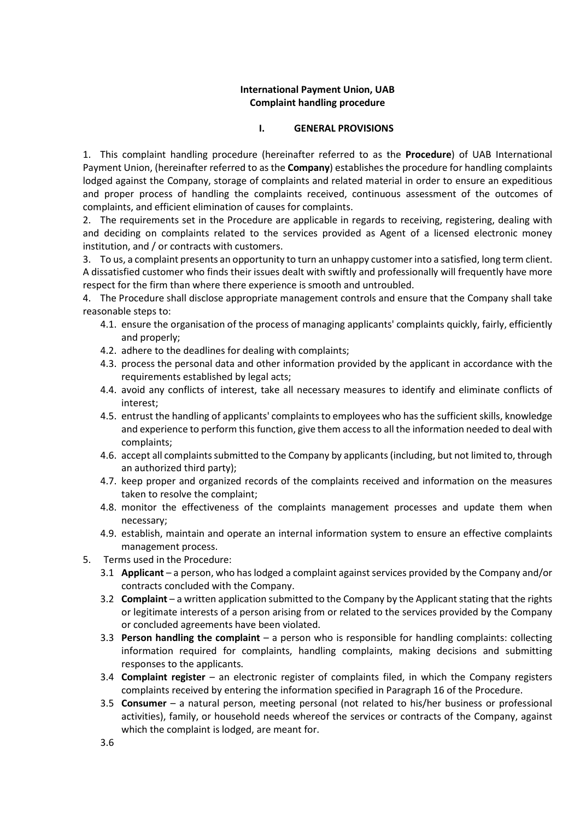### International Payment Union, UAB Complaint handling procedure

## I. GENERAL PROVISIONS

1. This complaint handling procedure (hereinafter referred to as the **Procedure**) of UAB International Payment Union, (hereinafter referred to as the Company) establishes the procedure for handling complaints lodged against the Company, storage of complaints and related material in order to ensure an expeditious and proper process of handling the complaints received, continuous assessment of the outcomes of complaints, and efficient elimination of causes for complaints.

2. The requirements set in the Procedure are applicable in regards to receiving, registering, dealing with and deciding on complaints related to the services provided as Agent of a licensed electronic money institution, and / or contracts with customers.

3. To us, a complaint presents an opportunity to turn an unhappy customer into a satisfied, long term client. A dissatisfied customer who finds their issues dealt with swiftly and professionally will frequently have more respect for the firm than where there experience is smooth and untroubled.

4. The Procedure shall disclose appropriate management controls and ensure that the Company shall take reasonable steps to:

- 4.1. ensure the organisation of the process of managing applicants' complaints quickly, fairly, efficiently and properly;
- 4.2. adhere to the deadlines for dealing with complaints;
- 4.3. process the personal data and other information provided by the applicant in accordance with the requirements established by legal acts;
- 4.4. avoid any conflicts of interest, take all necessary measures to identify and eliminate conflicts of interest;
- 4.5. entrust the handling of applicants' complaints to employees who has the sufficient skills, knowledge and experience to perform this function, give them access to all the information needed to deal with complaints;
- 4.6. accept all complaints submitted to the Company by applicants (including, but not limited to, through an authorized third party);
- 4.7. keep proper and organized records of the complaints received and information on the measures taken to resolve the complaint;
- 4.8. monitor the effectiveness of the complaints management processes and update them when necessary;
- 4.9. establish, maintain and operate an internal information system to ensure an effective complaints management process.
- 5. Terms used in the Procedure:
	- 3.1 Applicant a person, who has lodged a complaint against services provided by the Company and/or contracts concluded with the Company.
	- 3.2 **Complaint** a written application submitted to the Company by the Applicant stating that the rights or legitimate interests of a person arising from or related to the services provided by the Company or concluded agreements have been violated.
	- 3.3 Person handling the complaint  $-$  a person who is responsible for handling complaints: collecting information required for complaints, handling complaints, making decisions and submitting responses to the applicants.
	- 3.4 **Complaint register** an electronic register of complaints filed, in which the Company registers complaints received by entering the information specified in Paragraph 16 of the Procedure.
	- 3.5 Consumer a natural person, meeting personal (not related to his/her business or professional activities), family, or household needs whereof the services or contracts of the Company, against which the complaint is lodged, are meant for.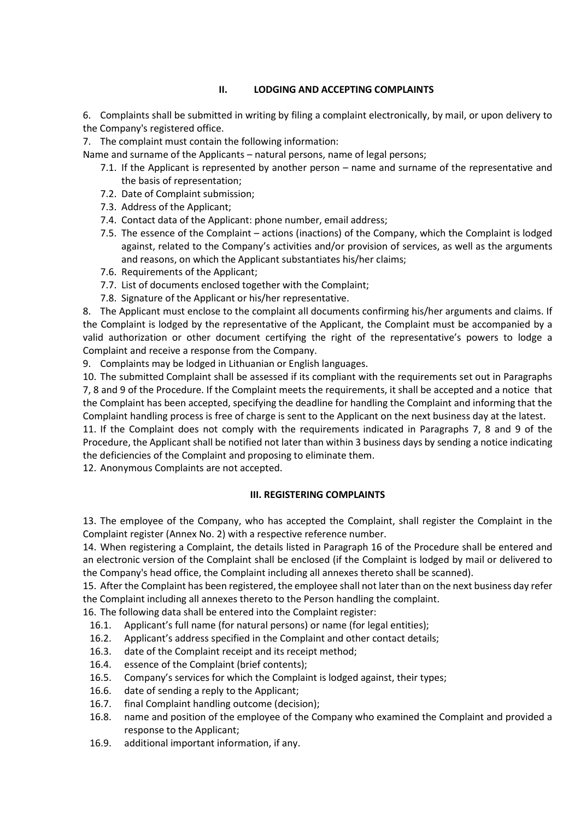# II. LODGING AND ACCEPTING COMPLAINTS

6. Complaints shall be submitted in writing by filing a complaint electronically, by mail, or upon delivery to the Company's registered office.

7. The complaint must contain the following information:

Name and surname of the Applicants – natural persons, name of legal persons;

- 7.1. If the Applicant is represented by another person name and surname of the representative and the basis of representation;
- 7.2. Date of Complaint submission;
- 7.3. Address of the Applicant;
- 7.4. Contact data of the Applicant: phone number, email address;
- 7.5. The essence of the Complaint actions (inactions) of the Company, which the Complaint is lodged against, related to the Company's activities and/or provision of services, as well as the arguments and reasons, on which the Applicant substantiates his/her claims;
- 7.6. Requirements of the Applicant;
- 7.7. List of documents enclosed together with the Complaint;
- 7.8. Signature of the Applicant or his/her representative.

8. The Applicant must enclose to the complaint all documents confirming his/her arguments and claims. If the Complaint is lodged by the representative of the Applicant, the Complaint must be accompanied by a valid authorization or other document certifying the right of the representative's powers to lodge a Complaint and receive a response from the Company.

9. Complaints may be lodged in Lithuanian or English languages.

10. The submitted Complaint shall be assessed if its compliant with the requirements set out in Paragraphs 7, 8 and 9 of the Procedure. If the Complaint meets the requirements, it shall be accepted and a notice that the Complaint has been accepted, specifying the deadline for handling the Complaint and informing that the Complaint handling process is free of charge is sent to the Applicant on the next business day at the latest.

11. If the Complaint does not comply with the requirements indicated in Paragraphs 7, 8 and 9 of the Procedure, the Applicant shall be notified not later than within 3 business days by sending a notice indicating the deficiencies of the Complaint and proposing to eliminate them.

12. Anonymous Complaints are not accepted.

#### III. REGISTERING COMPLAINTS

13. The employee of the Company, who has accepted the Complaint, shall register the Complaint in the Complaint register (Annex No. 2) with a respective reference number.

14. When registering a Complaint, the details listed in Paragraph 16 of the Procedure shall be entered and an electronic version of the Complaint shall be enclosed (if the Complaint is lodged by mail or delivered to the Company's head office, the Complaint including all annexes thereto shall be scanned).

15. After the Complaint has been registered, the employee shall not later than on the next business day refer the Complaint including all annexes thereto to the Person handling the complaint.

16. The following data shall be entered into the Complaint register:

- 16.1. Applicant's full name (for natural persons) or name (for legal entities);
- 16.2. Applicant's address specified in the Complaint and other contact details;
- 16.3. date of the Complaint receipt and its receipt method;
- 16.4. essence of the Complaint (brief contents);
- 16.5. Company's services for which the Complaint is lodged against, their types;
- 16.6. date of sending a reply to the Applicant;
- 16.7. final Complaint handling outcome (decision);
- 16.8. name and position of the employee of the Company who examined the Complaint and provided a response to the Applicant;
- 16.9. additional important information, if any.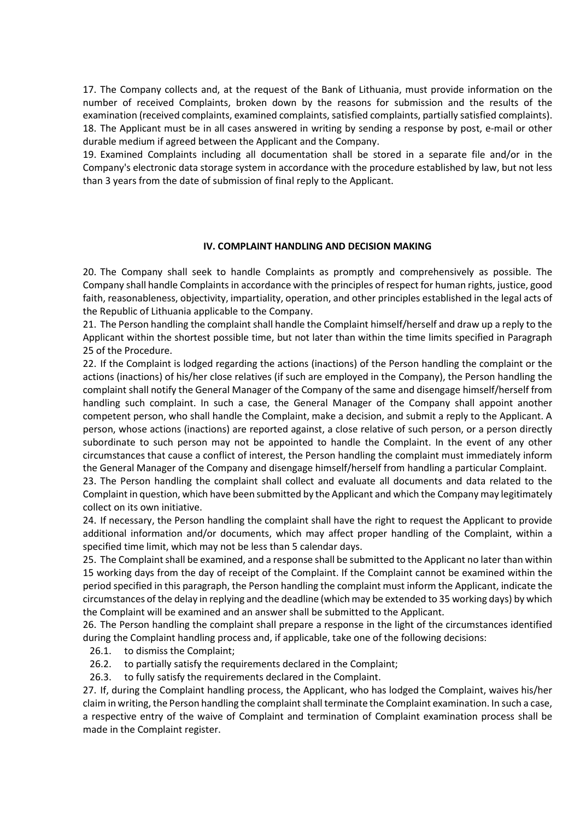17. The Company collects and, at the request of the Bank of Lithuania, must provide information on the number of received Complaints, broken down by the reasons for submission and the results of the examination (received complaints, examined complaints, satisfied complaints, partially satisfied complaints). 18. The Applicant must be in all cases answered in writing by sending a response by post, e-mail or other durable medium if agreed between the Applicant and the Company.

19. Examined Complaints including all documentation shall be stored in a separate file and/or in the Company's electronic data storage system in accordance with the procedure established by law, but not less than 3 years from the date of submission of final reply to the Applicant.

#### IV. COMPLAINT HANDLING AND DECISION MAKING

20. The Company shall seek to handle Complaints as promptly and comprehensively as possible. The Company shall handle Complaints in accordance with the principles of respect for human rights, justice, good faith, reasonableness, objectivity, impartiality, operation, and other principles established in the legal acts of the Republic of Lithuania applicable to the Company.

21. The Person handling the complaint shall handle the Complaint himself/herself and draw up a reply to the Applicant within the shortest possible time, but not later than within the time limits specified in Paragraph 25 of the Procedure.

22. If the Complaint is lodged regarding the actions (inactions) of the Person handling the complaint or the actions (inactions) of his/her close relatives (if such are employed in the Company), the Person handling the complaint shall notify the General Manager of the Company of the same and disengage himself/herself from handling such complaint. In such a case, the General Manager of the Company shall appoint another competent person, who shall handle the Complaint, make a decision, and submit a reply to the Applicant. A person, whose actions (inactions) are reported against, a close relative of such person, or a person directly subordinate to such person may not be appointed to handle the Complaint. In the event of any other circumstances that cause a conflict of interest, the Person handling the complaint must immediately inform the General Manager of the Company and disengage himself/herself from handling a particular Complaint.

23. The Person handling the complaint shall collect and evaluate all documents and data related to the Complaint in question, which have been submitted by the Applicant and which the Company may legitimately collect on its own initiative.

24. If necessary, the Person handling the complaint shall have the right to request the Applicant to provide additional information and/or documents, which may affect proper handling of the Complaint, within a specified time limit, which may not be less than 5 calendar days.

25. The Complaint shall be examined, and a response shall be submitted to the Applicant no later than within 15 working days from the day of receipt of the Complaint. If the Complaint cannot be examined within the period specified in this paragraph, the Person handling the complaint must inform the Applicant, indicate the circumstances of the delay in replying and the deadline (which may be extended to 35 working days) by which the Complaint will be examined and an answer shall be submitted to the Applicant.

26. The Person handling the complaint shall prepare a response in the light of the circumstances identified during the Complaint handling process and, if applicable, take one of the following decisions:

- 26.1. to dismiss the Complaint;
- 26.2. to partially satisfy the requirements declared in the Complaint;
- 26.3. to fully satisfy the requirements declared in the Complaint.

27. If, during the Complaint handling process, the Applicant, who has lodged the Complaint, waives his/her claim in writing, the Person handling the complaint shall terminate the Complaint examination. In such a case, a respective entry of the waive of Complaint and termination of Complaint examination process shall be made in the Complaint register.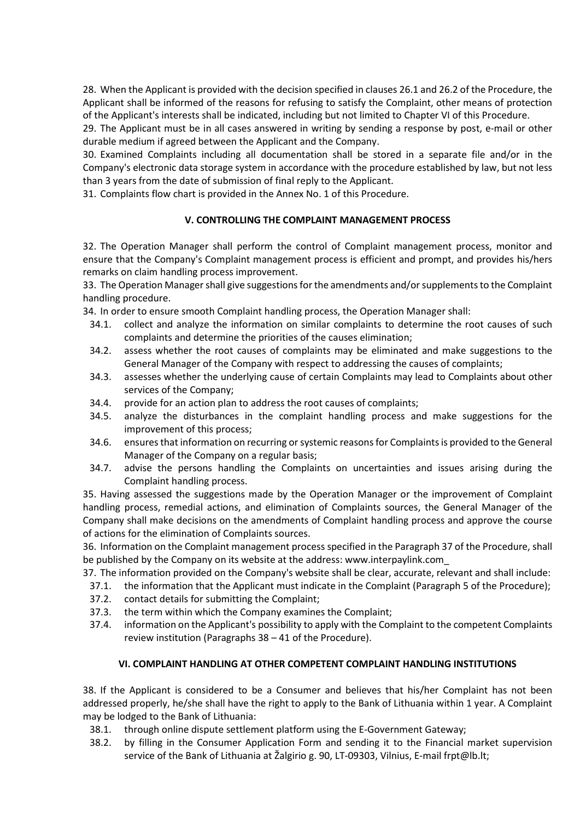28. When the Applicant is provided with the decision specified in clauses 26.1 and 26.2 of the Procedure, the Applicant shall be informed of the reasons for refusing to satisfy the Complaint, other means of protection of the Applicant's interests shall be indicated, including but not limited to Chapter VI of this Procedure.

29. The Applicant must be in all cases answered in writing by sending a response by post, e-mail or other durable medium if agreed between the Applicant and the Company.

30. Examined Complaints including all documentation shall be stored in a separate file and/or in the Company's electronic data storage system in accordance with the procedure established by law, but not less than 3 years from the date of submission of final reply to the Applicant.

31. Complaints flow chart is provided in the Annex No. 1 of this Procedure.

# V. CONTROLLING THE COMPLAINT MANAGEMENT PROCESS

32. The Operation Manager shall perform the control of Complaint management process, monitor and ensure that the Company's Complaint management process is efficient and prompt, and provides his/hers remarks on claim handling process improvement.

33. The Operation Manager shall give suggestions for the amendments and/or supplements to the Complaint handling procedure.

34. In order to ensure smooth Complaint handling process, the Operation Manager shall:

- 34.1. collect and analyze the information on similar complaints to determine the root causes of such complaints and determine the priorities of the causes elimination;
- 34.2. assess whether the root causes of complaints may be eliminated and make suggestions to the General Manager of the Company with respect to addressing the causes of complaints;
- 34.3. assesses whether the underlying cause of certain Complaints may lead to Complaints about other services of the Company;
- 34.4. provide for an action plan to address the root causes of complaints;
- 34.5. analyze the disturbances in the complaint handling process and make suggestions for the improvement of this process;
- 34.6. ensures that information on recurring or systemic reasons for Complaints is provided to the General Manager of the Company on a regular basis;
- 34.7. advise the persons handling the Complaints on uncertainties and issues arising during the Complaint handling process.

35. Having assessed the suggestions made by the Operation Manager or the improvement of Complaint handling process, remedial actions, and elimination of Complaints sources, the General Manager of the Company shall make decisions on the amendments of Complaint handling process and approve the course of actions for the elimination of Complaints sources.

36. Information on the Complaint management process specified in the Paragraph 37 of the Procedure, shall be published by the Company on its website at the address: www.interpaylink.com\_

37. The information provided on the Company's website shall be clear, accurate, relevant and shall include:

- 37.1. the information that the Applicant must indicate in the Complaint (Paragraph 5 of the Procedure);
- 37.2. contact details for submitting the Complaint;
- 37.3. the term within which the Company examines the Complaint;
- 37.4. information on the Applicant's possibility to apply with the Complaint to the competent Complaints review institution (Paragraphs 38 – 41 of the Procedure).

#### VI. COMPLAINT HANDLING AT OTHER COMPETENT COMPLAINT HANDLING INSTITUTIONS

38. If the Applicant is considered to be a Consumer and believes that his/her Complaint has not been addressed properly, he/she shall have the right to apply to the Bank of Lithuania within 1 year. A Complaint may be lodged to the Bank of Lithuania:

- 38.1. through online dispute settlement platform using the E-Government Gateway;
- 38.2. by filling in the Consumer Application Form and sending it to the Financial market supervision service of the Bank of Lithuania at Žalgirio g. 90, LT-09303, Vilnius, E-mail frpt@lb.lt;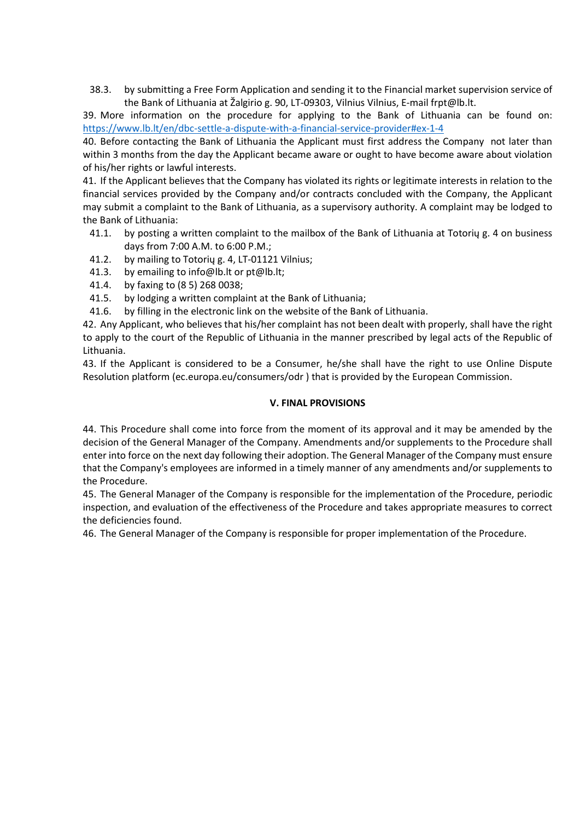38.3. by submitting a Free Form Application and sending it to the Financial market supervision service of the Bank of Lithuania at Žalgirio g. 90, LT-09303, Vilnius Vilnius, E-mail frpt@lb.lt.

39. More information on the procedure for applying to the Bank of Lithuania can be found on: https://www.lb.lt/en/dbc-settle-a-dispute-with-a-financial-service-provider#ex-1-4

40. Before contacting the Bank of Lithuania the Applicant must first address the Company not later than within 3 months from the day the Applicant became aware or ought to have become aware about violation of his/her rights or lawful interests.

41. If the Applicant believes that the Company has violated its rights or legitimate interests in relation to the financial services provided by the Company and/or contracts concluded with the Company, the Applicant may submit a complaint to the Bank of Lithuania, as a supervisory authority. A complaint may be lodged to the Bank of Lithuania:

- 41.1. by posting a written complaint to the mailbox of the Bank of Lithuania at Totorių g. 4 on business days from 7:00 A.M. to 6:00 P.M.;
- 41.2. by mailing to Totorių g. 4, LT-01121 Vilnius;
- 41.3. by emailing to info@lb.lt or pt@lb.lt;
- 41.4. by faxing to (8 5) 268 0038;
- 41.5. by lodging a written complaint at the Bank of Lithuania;
- 41.6. by filling in the electronic link on the website of the Bank of Lithuania.

42. Any Applicant, who believes that his/her complaint has not been dealt with properly, shall have the right to apply to the court of the Republic of Lithuania in the manner prescribed by legal acts of the Republic of Lithuania.

43. If the Applicant is considered to be a Consumer, he/she shall have the right to use Online Dispute Resolution platform (ec.europa.eu/consumers/odr ) that is provided by the European Commission.

### V. FINAL PROVISIONS

44. This Procedure shall come into force from the moment of its approval and it may be amended by the decision of the General Manager of the Company. Amendments and/or supplements to the Procedure shall enter into force on the next day following their adoption. The General Manager of the Company must ensure that the Company's employees are informed in a timely manner of any amendments and/or supplements to the Procedure.

45. The General Manager of the Company is responsible for the implementation of the Procedure, periodic inspection, and evaluation of the effectiveness of the Procedure and takes appropriate measures to correct the deficiencies found.

46. The General Manager of the Company is responsible for proper implementation of the Procedure.